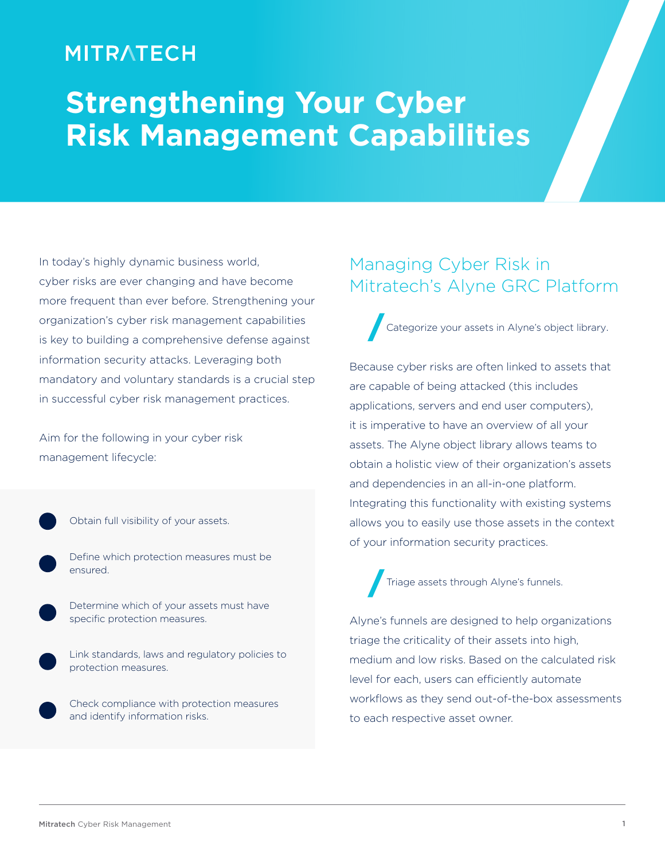### **MITRATECH**

# **Strengthening Your Cyber Risk Management Capabilities**

In today's highly dynamic business world, cyber risks are ever changing and have become more frequent than ever before. Strengthening your organization's cyber risk management capabilities is key to building a comprehensive defense against information security attacks. Leveraging both mandatory and voluntary standards is a crucial step in successful cyber risk management practices.

Aim for the following in your cyber risk management lifecycle:

- Obtain full visibility of your assets.
	- Define which protection measures must be ensured.
	- Determine which of your assets must have specific protection measures.

Link standards, laws and regulatory policies to protection measures.

Check compliance with protection measures and identify information risks.

#### Managing Cyber Risk in Mitratech's Alyne GRC Platform

Categorize your assets in Alyne's object library.

Because cyber risks are often linked to assets that are capable of being attacked (this includes applications, servers and end user computers), it is imperative to have an overview of all your assets. The Alyne object library allows teams to obtain a holistic view of their organization's assets and dependencies in an all-in-one platform. Integrating this functionality with existing systems allows you to easily use those assets in the context of your information security practices.

Triage assets through Alyne's funnels.

Alyne's funnels are designed to help organizations triage the criticality of their assets into high, medium and low risks. Based on the calculated risk level for each, users can efficiently automate workflows as they send out-of-the-box assessments to each respective asset owner.